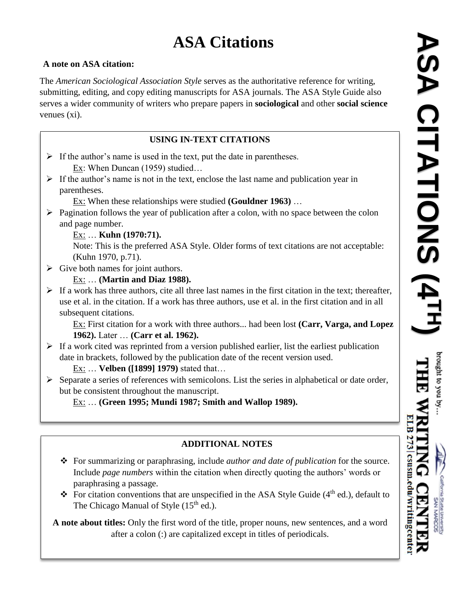# **ASA Citations**

#### **A note on ASA citation:**

The *American Sociological Association Style* serves as the authoritative reference for writing, submitting, editing, and copy editing manuscripts for ASA journals. The ASA Style Guide also serves a wider community of writers who prepare papers in **sociological** and other **social science** venues (xi).

### **USING IN-TEXT CITATIONS**

- $\triangleright$  If the author's name is used in the text, put the date in parentheses. Ex: When Duncan (1959) studied…
- $\triangleright$  If the author's name is not in the text, enclose the last name and publication year in parentheses.

Ex: When these relationships were studied **(Gouldner 1963)** …

 $\triangleright$  Pagination follows the year of publication after a colon, with no space between the colon and page number.

#### Ex: … **Kuhn (1970:71).**

Note: This is the preferred ASA Style. Older forms of text citations are not acceptable: (Kuhn 1970, p.71).

 $\triangleright$  Give both names for joint authors.

#### Ex: … **(Martin and Diaz 1988).**

 $\triangleright$  If a work has three authors, cite all three last names in the first citation in the text; thereafter, use et al. in the citation. If a work has three authors, use et al. in the first citation and in all subsequent citations.

Ex: First citation for a work with three authors... had been lost **(Carr, Varga, and Lopez 1962).** Later … **(Carr et al. 1962).**

 $\triangleright$  If a work cited was reprinted from a version published earlier, list the earliest publication date in brackets, followed by the publication date of the recent version used.

Ex: … **Velben ([1899] 1979)** stated that…

 $\triangleright$  Separate a series of references with semicolons. List the series in alphabetical or date order, but be consistent throughout the manuscript.

Ex: … **(Green 1995; Mundi 1987; Smith and Wallop 1989).**

# **ADDITIONAL NOTES**

- For summarizing or paraphrasing, include *author and date of publication* for the source. Include *page numbers* within the citation when directly quoting the authors' words or paraphrasing a passage.
- For citation conventions that are unspecified in the ASA Style Guide  $(4<sup>th</sup>$  ed.), default to The Chicago Manual of Style  $(15<sup>th</sup>$  ed.).

**A note about titles:** Only the first word of the title, proper nouns, new sentences, and a word after a colon (:) are capitalized except in titles of periodicals. after a colon (:) are capitalized except in titles of periodicals.



wrungcenter